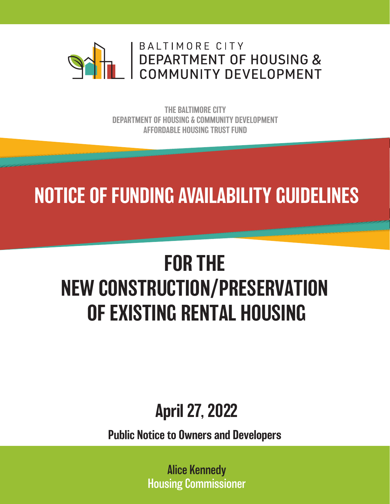

THE BALTIMORE CITY DEPARTMENT OF HOUSING & COMMUNITY DEVELOPMENT AFFORDABLE HOUSING TRUST FUND

## NOTICE OF FUNDING AVAILABILITY GUIDELINES

# FOR THE NEW CONSTRUCTION/PRESERVATION OF EXISTING RENTAL HOUSING

## April 27, 2022

Public Notice to Owners and Developers

Alice Kennedy Housing Commissioner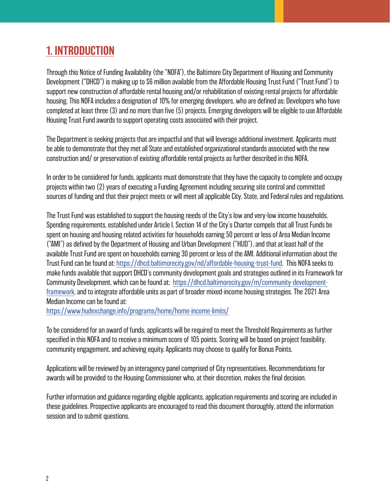### 1. INTRODUCTION

Through this Notice of Funding Availability (the "NOFA"), the Baltimore City Department of Housing and Community Development ("DHCD") is making up to \$6 million available from the Affordable Housing Trust Fund ("Trust Fund") to support new construction of affordable rental housing and/or rehabilitation of existing rental projects for affordable housing. This NOFA includes a designation of 10% for emerging developers, who are defined as: Developers who have completed at least three (3) and no more than five (5) projects. Emerging developers will be eligible to use Affordable Housing Trust Fund awards to support operating costs associated with their project.

The Department is seeking projects that are impactful and that will leverage additional investment. Applicants must be able to demonstrate that they met all State and established organizational standards associated with the new construction and/ or preservation of existing affordable rental projects as further described in this NOFA.

In order to be considered for funds, applicants must demonstrate that they have the capacity to complete and occupy projects within two (2) years of executing a Funding Agreement including securing site control and committed sources of funding and that their project meets or will meet all applicable City, State, and Federal rules and regulations.

The Trust Fund was established to support the housing needs of the City's low and very-low income households. Spending requirements, established under Article I, Section 14 of the City's Charter compels that all Trust Funds be spent on housing and housing related activities for households earning 50 percent or less of Area Median Income ("AMI") as defined by the Department of Housing and Urban Development ("HUD"), and that at least half of the available Trust Fund are spent on households earning 30 percent or less of the AMI. Additional information about the Trust Fund can be found at: https://dhcd.baltimorecity.gov/nd/affordable-housing-trust-fund. This NOFA seeks to make funds available that support DHCD's community development goals and strategies outlined in its Framework for Community Development, which can be found at: https://dhcd.baltimorecity.gov/m/community-developmentframework, and to integrate affordable units as part of broader mixed-income housing strategies. The 2021 Area Median Income can be found at:

https://www.hudexchange.info/programs/home/home-income-limits/

To be considered for an award of funds, applicants will be required to meet the Threshold Requirements as further specified in this NOFA and to receive a minimum score of 105 points. Scoring will be based on project feasibility, community engagement, and achieving equity. Applicants may choose to qualify for Bonus Points.

Applications will be reviewed by an interagency panel comprised of City representatives. Recommendations for awards will be provided to the Housing Commissioner who, at their discretion, makes the final decision.

Further information and guidance regarding eligible applicants, application requirements and scoring are included in these guidelines. Prospective applicants are encouraged to read this document thoroughly, attend the information session and to submit questions.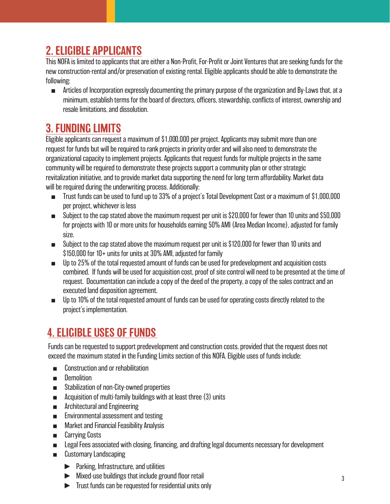#### 2. ELIGIBLE APPLICANTS

This NOFA is limited to applicants that are either a Non-Profit, For-Profit or Joint Ventures that are seeking funds for the new construction-rental and/or preservation of existing rental. Eligible applicants should be able to demonstrate the following:

■ Articles of Incorporation expressly documenting the primary purpose of the organization and By-Laws that, at a minimum, establish terms for the board of directors, officers, stewardship, conflicts of interest, ownership and resale limitations, and dissolution.

## 3. FUNDING LIMITS

Eligible applicants can request a maximum of \$1,000,000 per project. Applicants may submit more than one request for funds but will be required to rank projects in priority order and will also need to demonstrate the organizational capacity to implement projects. Applicants that request funds for multiple projects in the same community will be required to demonstrate these projects support a community plan or other strategic revitalization initiative, and to provide market data supporting the need for long term affordability. Market data will be required during the underwriting process. Additionally:

- Trust funds can be used to fund up to 33% of a project's Total Development Cost or a maximum of \$1,000,000 per project, whichever is less
- Subject to the cap stated above the maximum request per unit is \$20,000 for fewer than 10 units and \$50,000 for projects with 10 or more units for households earning 50% AMI (Area Median Income), adjusted for family size.
- Subject to the cap stated above the maximum request per unit is \$120,000 for fewer than 10 units and \$150,000 for 10+ units for units at 30% AMI, adjusted for family
- Up to 25% of the total requested amount of funds can be used for predevelopment and acquisition costs combined. If funds will be used for acquisition cost, proof of site control will need to be presented at the time of request. Documentation can include a copy of the deed of the property, a copy of the sales contract and an executed land disposition agreement.
- Up to 10% of the total requested amount of funds can be used for operating costs directly related to the project's implementation.

## 4. ELIGIBLE USES OF FUNDS

Funds can be requested to support predevelopment and construction costs, provided that the request does not exceed the maximum stated in the Funding Limits section of this NOFA. Eligible uses of funds include:

- Construction and or rehabilitation
- Demolition
- Stabilization of non-City-owned properties
- Acquisition of multi-family buildings with at least three (3) units
- Architectural and Engineering
- Environmental assessment and testing
- Market and Financial Feasibility Analysis
- Carrying Costs
- Legal Fees associated with closing, financing, and drafting legal documents necessary for development
- Customary Landscaping
	- ► Parking, Infrastructure, and utilities
	- ► Mixed-use buildings that include ground floor retail
	- ► Trust funds can be requested for residential units only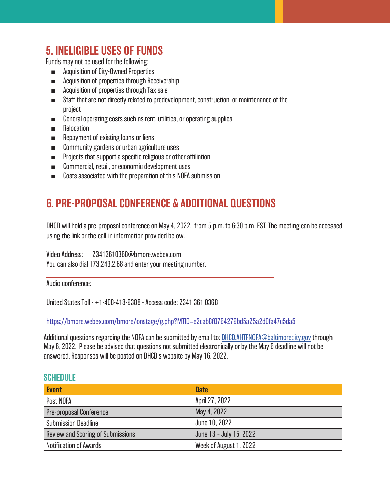#### 5. INELIGIBLE USES OF FUNDS

Funds may not be used for the following:

- Acquisition of City-Owned Properties
- Acquisition of properties through Receivership
- Acquisition of properties through Tax sale
- Staff that are not directly related to predevelopment, construction, or maintenance of the project
- General operating costs such as rent, utilities, or operating supplies
- Relocation
- Repayment of existing loans or liens
- Community gardens or urban agriculture uses
- Projects that support a specific religious or other affiliation
- Commercial, retail, or economic development uses
- Costs associated with the preparation of this NOFA submission

#### 6 . PRE-PROPOSAL CONFERENCE & ADDITIONAL QUESTIONS

DHCD will hold a pre-proposal conference on May 4, 2022, from 5 p.m. to 6:30 p.m. EST. The meeting can be accessed using the link or the call-in information provided below.

Video Address: 23413610368@bmore.webex.com

You can also dial 173.243.2.68 and enter your meeting number.

Audio conference:

United States Toll - +1-408-418-9388 - Access code: 2341 361 0368

[https://bmore.webex.com/bmore/onstage/g.php?MTID=e2cab8f0764279bd5a25a2d0fa47c5da5](https://bmore.webex.com/mw3300/mywebex/default.do?nomenu=true&siteurl=bmore&service=6&rnd=0.433624929098955&main_url=https%3A%2F%2Fbmore.webex.com%2Fec3300%2Feventcenter%2Fevent%2FeventAction.do%3FtheAction%3Ddetail%26%26%26EMK%3D4832534b0000000504a54c058de265182d39f5a6eec9bcb0f9389b5dccfb2dc5715b4621a3e2c289%26siteurl%3Dbmore%26confViewID%3D222221590576796577%26encryptTicket%3DSDJTSwAAAAUe6_lmyPRLxT0e4XZLMmXTdCN3xLcKe5xZSNA0ozSTuw2%26)

Additional questions regarding the NOFA can be submitted by email to: [DHCD.AHTFNOFA@baltimorecity.gov thr](mailto:DHCD.AHTFNOFA@baltimorecity.gov)ough May 6, 2022. Please be advised that questions not submitted electronically or by the May 6 deadline will not be answered. Responses will be posted on DHCD's website by May 16, 2022.

#### **SCHEDULE**

| Event                                    | <b>Date</b>             |
|------------------------------------------|-------------------------|
| Post NOFA                                | April 27, 2022          |
| Pre-proposal Conference                  | May 4, 2022             |
| Submission Deadline                      | June 10, 2022           |
| <b>Review and Scoring of Submissions</b> | June 13 - July 15, 2022 |
| Notification of Awards                   | Week of August 1, 2022  |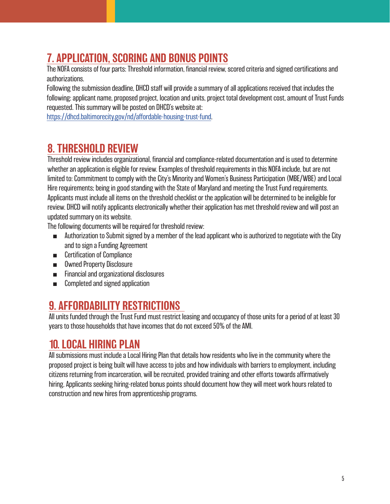## 7. APPLICATION, SCORING AND BONUS POINTS

The NOFA consists of four parts: Threshold information, financial review, scored criteria and signed certifications and authorizations.

Following the submission deadline, DHCD staff will provide a summary of all applications received that includes the following: applicant name, proposed project, location and units, project total development cost, amount of Trust Funds requested. This summary will be posted on DHCD's website at:

https://dhcd.baltimorecity.gov/nd/affordable-housing-trust-fund.

#### 8. THRESHOLD REVIEW

Threshold review includes organizational, financial and compliance-related documentation and is used to determine whether an application is eligible for review. Examples of threshold requirements in this NOFA include, but are not limited to: Commitment to comply with the City's Minority and Women's Business Participation (MBE/WBE) and Local Hire requirements; being in good standing with the State of Maryland and meeting the Trust Fund requirements. Applicants must include all items on the threshold checklist or the application will be determined to be ineligible for review. DHCD will notify applicants electronically whether their application has met threshold review and will post an updated summary on its website.

The following documents will be required for threshold review:

- Authorization to Submit signed by a member of the lead applicant who is authorized to negotiate with the City and to sign a Funding Agreement
- Certification of Compliance
- Owned Property Disclosure
- Financial and organizational disclosures
- Completed and signed application

#### 9. AFFORDABILITY RESTRICTIONS

All units funded through the Trust Fund must restrict leasing and occupancy of those units for a period of at least 30 years to those households that have incomes that do not exceed 50% of the AMI.

#### 10. LOCAL HIRING PLAN

All submissions must include a Local Hiring Plan that details how residents who live in the community where the proposed project is being built will have access to jobs and how individuals with barriers to employment, including citizens returning from incarceration, will be recruited, provided training and other efforts towards affirmatively hiring. Applicants seeking hiring-related bonus points should document how they will meet work hours related to construction and new hires from apprenticeship programs.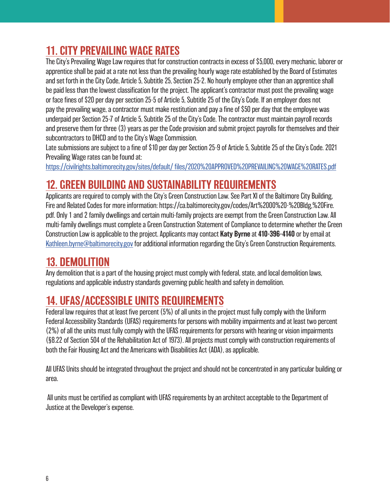## 11. CITY PREVAILING WAGE RATES

The City's Prevailing Wage Law requires that for construction contracts in excess of \$5,000, every mechanic, laborer or apprentice shall be paid at a rate not less than the prevailing hourly wage rate established by the Board of Estimates and set forth in the City Code, Article 5, Subtitle 25, Section 25-2. No hourly employee other than an apprentice shall be paid less than the lowest classification for the project. The applicant's contractor must post the prevailing wage or face fines of \$20 per day per section 25-5 of Article 5, Subtitle 25 of the City's Code. If an employer does not pay the prevailing wage, a contractor must make restitution and pay a fine of \$50 per day that the employee was underpaid per Section 25-7 of Article 5, Subtitle 25 of the City's Code. The contractor must maintain payroll records and preserve them for three (3) years as per the Code provision and submit project payrolls for themselves and their subcontractors to DHCD and to the City's Wage Commission.

Late submissions are subject to a fine of \$10 per day per Section 25-9 of Article 5, Subtitle 25 of the City's Code. 2021 Prevailing Wage rates can be found at:

https://civilrights.baltimorecity.gov/sites/default/ files/2020%20APPROVED%20PREVAILING%20WAGE%20RATES.pdf

#### 12. GREEN BUILDING AND SUSTAINABILITY REQUIREMENTS

Applicants are required to comply with the City's Green Construction Law. See Part XI of the Baltimore City Building, Fire and Related Codes for more information: https://ca.baltimorecity.gov/codes/Art%2000%20-%20Bldg,%20Fire. pdf. Only 1 and 2 family dwellings and certain multi-family projects are exempt from the Green Construction Law. All multi-family dwellings must complete a Green Construction Statement of Compliance to determine whether the Green Construction Law is applicable to the project. Applicants may contact Katy Byrne at 410-396-4140 or by email at Kathleen.byrne@baltimorecity.gov for additional information regarding the City's Green Construction Requirements.

#### 13. DEMOLITION

Any demolition that is a part of the housing project must comply with federal, state, and local demolition laws, regulations and applicable industry standards governing public health and safety in demolition.

#### 14. UFAS/ACCESSIBLE UNITS REQUIREMENTS

Federal law requires that at least five percent (5%) of all units in the project must fully comply with the Uniform Federal Accessibility Standards (UFAS) requirements for persons with mobility impairments and at least two percent (2%) of all the units must fully comply with the UFAS requirements for persons with hearing or vision impairments (§8.22 of Section 504 of the Rehabilitation Act of 1973). All projects must comply with construction requirements of both the Fair Housing Act and the Americans with Disabilities Act (ADA), as applicable.

All UFAS Units should be integrated throughout the project and should not be concentrated in any particular building or area.

All units must be certified as compliant with UFAS requirements by an architect acceptable to the Department of Justice at the Developer's expense.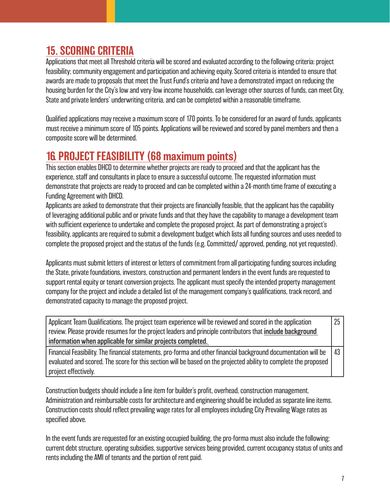#### 15. SCORING CRITERIA

Applications that meet all Threshold criteria will be scored and evaluated according to the following criteria: project feasibility; community engagement and participation and achieving equity. Scored criteria is intended to ensure that awards are made to proposals that meet the Trust Fund's criteria and have a demonstrated impact on reducing the housing burden for the City's low and very-low income households, can leverage other sources of funds, can meet City, State and private lenders' underwriting criteria, and can be completed within a reasonable timeframe.

Qualified applications may receive a maximum score of 170 points. To be considered for an award of funds, applicants must receive a minimum score of 105 points. Applications will be reviewed and scored by panel members and then a composite score will be determined.

#### 16. PROJECT FEASIBILITY (68 maximum points)

This section enables DHCD to determine whether projects are ready to proceed and that the applicant has the experience, staff and consultants in place to ensure a successful outcome. The requested information must demonstrate that projects are ready to proceed and can be completed within a 24-month time frame of executing a Funding Agreement with DHCD.

Applicants are asked to demonstrate that their projects are financially feasible, that the applicant has the capability of leveraging additional public and or private funds and that they have the capability to manage a development team with sufficient experience to undertake and complete the proposed project. As part of demonstrating a project's feasibility, applicants are required to submit a development budget which lists all funding sources and uses needed to complete the proposed project and the status of the funds (e.g. Committed/ approved, pending, not yet requested).

Applicants must submit letters of interest or letters of commitment from all participating funding sources including the State, private foundations, investors, construction and permanent lenders in the event funds are requested to support rental equity or tenant conversion projects. The applicant must specify the intended property management company for the project and include a detailed list of the management company's qualifications, track record, and demonstrated capacity to manage the proposed project.

| Applicant Team Qualifications. The project team experience will be reviewed and scored in the application            |  |
|----------------------------------------------------------------------------------------------------------------------|--|
| review. Please provide resumes for the project leaders and principle contributors that include background            |  |
| information when applicable for similar projects completed.                                                          |  |
| Financial Feasibility. The financial statements, pro-forma and other financial background documentation will be   43 |  |
| evaluated and scored. The score for this section will be based on the projected ability to complete the proposed     |  |
| project effectively.                                                                                                 |  |

Construction budgets should include a line item for builder's profit, overhead, construction management. Administration and reimbursable costs for architecture and engineering should be included as separate line items. Construction costs should reflect prevailing wage rates for all employees including City Prevailing Wage rates as specified above.

In the event funds are requested for an existing occupied building, the pro-forma must also include the following: current debt structure, operating subsidies, supportive services being provided, current occupancy status of units and rents including the AMI of tenants and the portion of rent paid.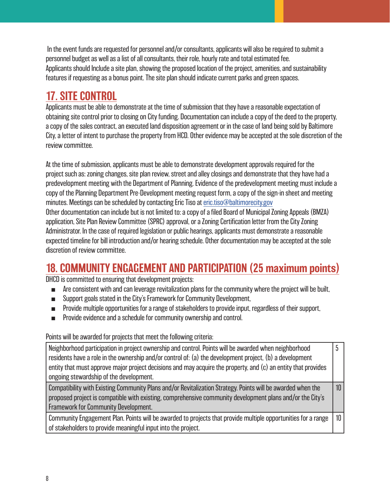In the event funds are requested for personnel and/or consultants, applicants will also be required to submit a personnel budget as well as a list of all consultants, their role, hourly rate and total estimated fee. Applicants should Include a site plan, showing the proposed location of the project, amenities, and sustainability features if requesting as a bonus point. The site plan should indicate current parks and green spaces.

#### 17. SITE CONTROL

discretion of review committee.

Applicants must be able to demonstrate at the time of submission that they have a reasonable expectation of obtaining site control prior to closing on City funding. Documentation can include a copy of the deed to the property, a copy of the sales contract, an executed land disposition agreement or in the case of land being sold by Baltimore City, a letter of intent to purchase the property from HCD. Other evidence may be accepted at the sole discretion of the review committee.

At the time of submission, applicants must be able to demonstrate development approvals required for the project such as: zoning changes, site plan review, street and alley closings and demonstrate that they have had a predevelopment meeting with the Department of Planning. Evidence of the predevelopment meeting must include a copy of the Planning Department Pre-Development meeting request form, a copy of the sign-in sheet and meeting minutes. Meetings can be scheduled by contacting Eric Tiso at eric.tiso@baltimorecity.gov Other documentation can include but is not limited to: a copy of a filed Board of Municipal Zoning Appeals (BMZA) application, Site Plan Review Committee (SPRC) approval, or a Zoning Certification letter from the City Zoning Administrator. In the case of required legislation or public hearings, applicants must demonstrate a reasonable expected timeline for bill introduction and/or hearing schedule. Other documentation may be accepted at the sole

#### 18. COMMUNITY ENGAGEMENT AND PARTICIPATION (25 maximum points)

DHCD is committed to ensuring that development projects:

- Are consistent with and can leverage revitalization plans for the community where the project will be built,
- Support goals stated in the City's Framework for Community Development,
- Provide multiple opportunities for a range of stakeholders to provide input, regardless of their support,
- Provide evidence and a schedule for community ownership and control.

Points will be awarded for projects that meet the following criteria:

| Neighborhood participation in project ownership and control. Points will be awarded when neighborhood<br>residents have a role in the ownership and/or control of: (a) the development project, (b) a development<br>entity that must approve major project decisions and may acquire the property, and (c) an entity that provides<br>ongoing stewardship of the development. |                 |
|--------------------------------------------------------------------------------------------------------------------------------------------------------------------------------------------------------------------------------------------------------------------------------------------------------------------------------------------------------------------------------|-----------------|
| Compatibility with Existing Community Plans and/or Revitalization Strategy. Points will be awarded when the<br>proposed project is compatible with existing, comprehensive community development plans and/or the City's<br><b>Framework for Community Development.</b>                                                                                                        | 10              |
| Community Engagement Plan. Points will be awarded to projects that provide multiple opportunities for a range<br>of stakeholders to provide meaningful input into the project.                                                                                                                                                                                                 | 10 <sup>°</sup> |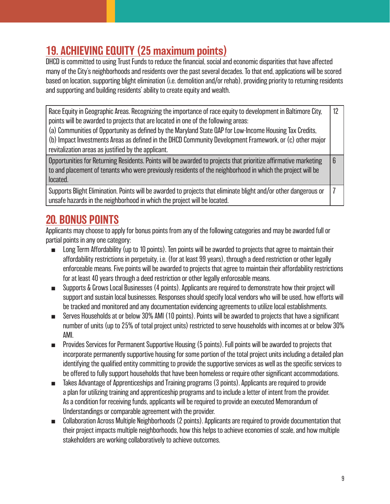### 19. ACHIEVING EQUITY (25 maximum points)

DHCD is committed to using Trust Funds to reduce the financial, social and economic disparities that have affected many of the City's neighborhoods and residents over the past several decades. To that end, applications will be scored based on location, supporting blight elimination (i.e. demolition and/or rehab), providing priority to returning residents and supporting and building residents' ability to create equity and wealth.

Race Equity in Geographic Areas. Recognizing the importance of race equity to development in Baltimore City, points will be awarded to projects that are located in one of the following areas: 12

(a) Communities of Opportunity as defined by the Maryland State QAP for Low-Income Housing Tax Credits,

(b) Impact Investments Areas as defined in the DHCD Community Development Framework, or (c) other major revitalization areas as justified by the applicant.

Opportunities for Returning Residents. Points will be awarded to projects that prioritize affirmative marketing to and placement of tenants who were previously residents of the neighborhood in which the project will be located. 6

Supports Blight Elimination. Points will be awarded to projects that eliminate blight and/or other dangerous or unsafe hazards in the neighborhood in which the project will be located. 7

#### 20. BONUS POINTS

Applicants may choose to apply for bonus points from any of the following categories and may be awarded full or partial points in any one category:

- Long Term Affordability (up to 10 points). Ten points will be awarded to projects that agree to maintain their affordability restrictions in perpetuity, i.e. (for at least 99 years), through a deed restriction or other legally enforceable means. Five points will be awarded to projects that agree to maintain their affordability restrictions for at least 40 years through a deed restriction or other legally enforceable means.
- Supports & Grows Local Businesses (4 points). Applicants are required to demonstrate how their project will support and sustain local businesses. Responses should specify local vendors who will be used, how efforts will be tracked and monitored and any documentation evidencing agreements to utilize local establishments.
- Serves Households at or below 30% AMI (10 points). Points will be awarded to projects that have a significant number of units (up to 25% of total project units) restricted to serve households with incomes at or below 30% AMI.
- Provides Services for Permanent Supportive Housing (5 points). Full points will be awarded to projects that incorporate permanently supportive housing for some portion of the total project units including a detailed plan identifying the qualified entity committing to provide the supportive services as well as the specific services to be offered to fully support households that have been homeless or require other significant accommodations.
- Takes Advantage of Apprenticeships and Training programs (3 points). Applicants are required to provide a plan for utilizing training and apprenticeship programs and to include a letter of intent from the provider. As a condition for receiving funds, applicants will be required to provide an executed Memorandum of Understandings or comparable agreement with the provider.
- Collaboration Across Multiple Neighborhoods (2 points). Applicants are required to provide documentation that their project impacts multiple neighborhoods, how this helps to achieve economies of scale, and how multiple stakeholders are working collaboratively to achieve outcomes.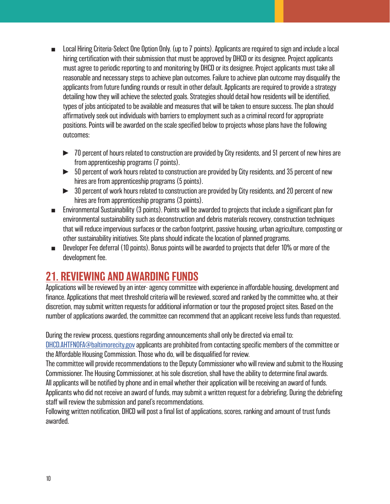- Local Hiring Criteria-Select One Option Only. (up to 7 points). Applicants are required to sign and include a local hiring certification with their submission that must be approved by DHCD or its designee. Project applicants must agree to periodic reporting to and monitoring by DHCD or its designee. Project applicants must take all reasonable and necessary steps to achieve plan outcomes. Failure to achieve plan outcome may disqualify the applicants from future funding rounds or result in other default. Applicants are required to provide a strategy detailing how they will achieve the selected goals. Strategies should detail how residents will be identified, types of jobs anticipated to be available and measures that will be taken to ensure success. The plan should affirmatively seek out individuals with barriers to employment such as a criminal record for appropriate positions. Points will be awarded on the scale specified below to projects whose plans have the following outcomes:
	- ► 70 percent of hours related to construction are provided by City residents, and 51 percent of new hires are from apprenticeship programs (7 points).
	- ► 50 percent of work hours related to construction are provided by City residents, and 35 percent of new hires are from apprenticeship programs (5 points).
	- ► 30 percent of work hours related to construction are provided by City residents, and 20 percent of new hires are from apprenticeship programs (3 points).
- Environmental Sustainability (3 points). Points will be awarded to projects that include a significant plan for environmental sustainability such as deconstruction and debris materials recovery, construction techniques that will reduce impervious surfaces or the carbon footprint, passive housing, urban agriculture, composting or other sustainability initiatives. Site plans should indicate the location of planned programs.
- Developer Fee deferral (10 points). Bonus points will be awarded to projects that defer 10% or more of the development fee.

#### 21. REVIEWING AND AWARDING FUNDS

Applications will be reviewed by an inter- agency committee with experience in affordable housing, development and finance. Applications that meet threshold criteria will be reviewed, scored and ranked by the committee who, at their discretion, may submit written requests for additional information or tour the proposed project sites. Based on the number of applications awarded, the committee can recommend that an applicant receive less funds than requested.

During the review process, questions regarding announcements shall only be directed via email to:

DHCD.AHTFNOFA@baltimorecity.gov applicants are prohibited from contacting specific members of the committee or the Affordable Housing Commission. Those who do, will be disqualified for review.

The committee will provide recommendations to the Deputy Commissioner who will review and submit to the Housing Commissioner. The Housing Commissioner, at his sole discretion, shall have the ability to determine final awards. All applicants will be notified by phone and in email whether their application will be receiving an award of funds. Applicants who did not receive an award of funds, may submit a written request for a debriefing. During the debriefing staff will review the submission and panel's recommendations.

Following written notification, DHCD will post a final list of applications, scores, ranking and amount of trust funds awarded.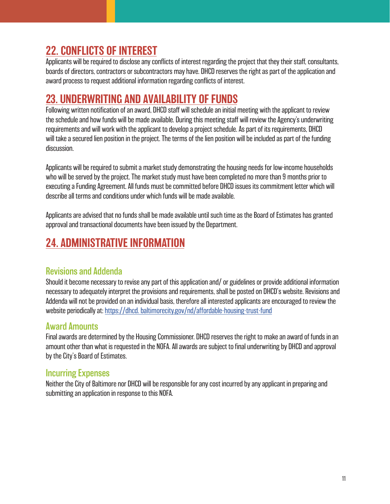#### 22. CONFLICTS OF INTEREST

Applicants will be required to disclose any conflicts of interest regarding the project that they their staff, consultants, boards of directors, contractors or subcontractors may have. DHCD reserves the right as part of the application and award process to request additional information regarding conflicts of interest.

#### 23. UNDERWRITING AND AVAILABILITY OF FUNDS

Following written notification of an award, DHCD staff will schedule an initial meeting with the applicant to review the schedule and how funds will be made available. During this meeting staff will review the Agency's underwriting requirements and will work with the applicant to develop a project schedule. As part of its requirements, DHCD will take a secured lien position in the project. The terms of the lien position will be included as part of the funding discussion.

Applicants will be required to submit a market study demonstrating the housing needs for low-income households who will be served by the project. The market study must have been completed no more than 9 months prior to executing a Funding Agreement. All funds must be committed before DHCD issues its commitment letter which will describe all terms and conditions under which funds will be made available.

Applicants are advised that no funds shall be made available until such time as the Board of Estimates has granted approval and transactional documents have been issued by the Department.

## 24. ADMINISTRATIVE INFORMATION

#### Revisions and Addenda

Should it become necessary to revise any part of this application and/ or guidelines or provide additional information necessary to adequately interpret the provisions and requirements, shall be posted on DHCD's website. Revisions and Addenda will not be provided on an individual basis, therefore all interested applicants are encouraged to review the website periodically at: https://dhcd. baltimorecity.gov/nd/affordable-housing-trust-fund

#### Award Amounts

Final awards are determined by the Housing Commissioner. DHCD reserves the right to make an award of funds in an amount other than what is requested in the NOFA. All awards are subject to final underwriting by DHCD and approval by the City's Board of Estimates.

#### Incurring Expenses

Neither the City of Baltimore nor DHCD will be responsible for any cost incurred by any applicant in preparing and submitting an application in response to this NOFA.